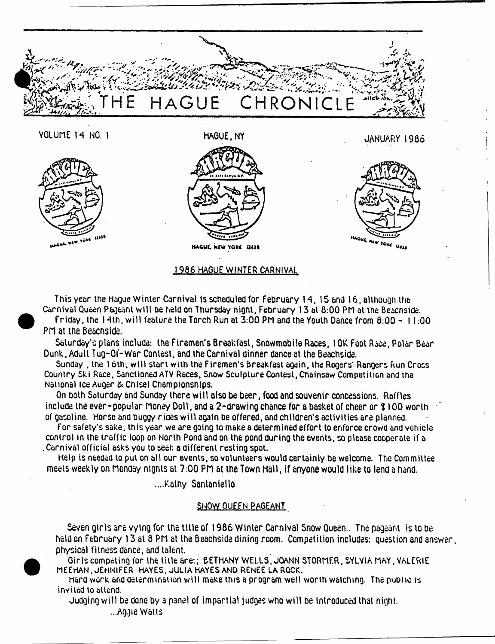

This year the Hague Winter Carnival is scheduled for February 14, 15 and 16, although the **Carnival Queen Pageant w ill be held on Thursday night, February 13 at 8:00 PM at the Beacnside, Friday, the 14th, w ill feature the Torch Run at 3:00 PM and the Youth Dance from 8:00 - 11:00 PH at the Beacnside.**

**Saturday's plans include: the Firemen's Breakfast, Snowmobile Races, I OK Foot Race, Polar Bear Dunk, Adult Tug-Of-W ar Contest, and the Carnival dinner dance at the Beachside.**

**Sunday , the 16th, w ill start with the Firemen's Breakfast again, the Rogers\* Rangers Run Cross Country Ski Race, Sanctioned ATV Races, Snow Sculpture Contest, Chainsaw Competition and the National ice Auger & Chisel Championships.**

**On both Saturday and Sunday there w ill also be beer, food and souvenir concessions. Raffles include the ever-popular Honey Doll, and a 2-drawing chance for a basket of cheer or \$ 100 worth of gasoline. Horse and buggy rioes w ill again be offered, and children's activities are planned.**

**For safety's sake, this year we are going to make a determined effort to enforce crowd and vehicle control in the traffic loop on North Pond and on the pond during the events, so please cooperate if a . Carnival official asks you to seek a different resting spot.**

**Help is needed to put on all our events, so volunteers would certainly be welcome. The Committee meets weekly on Honday nignts at 7:00 PH at the Town Hall, if anyone would like to lend a hand.**

**....Kathy Santaniello**

# **SNOW QUFFN PAGEANT**

**Seven girls are vying for the title of 1986 Winter Carnival Snow Queen.. The pageant is to be held on February 13 at 8 PH at the Beachside dining room. Competition includes: question and answer, physical fitness dance, and talent.**

Girls competing for the title are:; BETHANY WELLS, JOANN STORMER, SYLVIA MAY, VALERIE MEEHAN, JENNIFER HAYES, JULIA HAYES AND RENEE LA ROCK.

hard work and determination w ill make this a program well worth watching. The public is invited to attend.

**Judging w ill be done by 3 panel of impartial judges who will be introduced that night.**

**...Aggie Waits**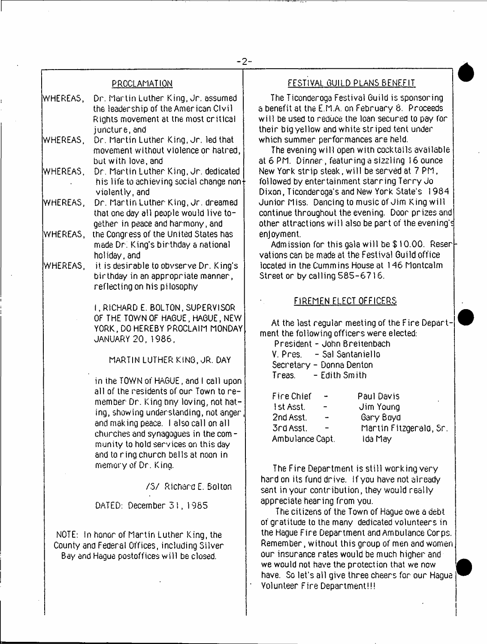## PROCLAMATION

- WHEREAS, Dr. Martin Luther King, Jr. assumed the leadership of the American Civil Rights movement at the most critical juncture, and
- WHEREAS, Dr. Martin Luther King, Jr. led that movement without violence or hatred, but with love, and
- WHEREAS, Dr. Martin Luther King, Jr. dedicated his life to achieving social change non $\dagger$ violently, and
- V/HE REAS, Dr. Martin Luther King, Jr. dreamed that one day all people would live together in peace and harmony, and
- WHEREAS, the Congress of the United States has made Dr; King's birthday a national holiday, and
- WHEREAS, it is desirable to obvserve Dr. King's birthday in an appropriate manner, reflecting on his pi losophy
	- I , RICHARD E. BOLTON, SUPERVISOR OF THE TOWN OF HAGUE, HAGUE, NEW YORK, DO HEREBY PROCLAIM MONDAY JANUARY 20, 1986,

MARTIN LUTHER KING, JR. DAY

in the TOWN of HAGUE, and I call upon all of the residents of our Town to remember Dr. King bny loving, not hating, showing understanding, not anger and making peace. I also call on all churches and synagogues in the com munity to hold services on this day and to ring church bells at noon in memory of Dr. King.

/S / Richara E. Bolton

DATED: December 31,1965

NOTE: in honor of Martin Luther King, the County and Federal Offices, including Silver Bay and Hague postoffices w ill be closed.

## FESTIVAL GUILD PLANS BENEFIT

The Ticonderoga Festival Guild is sponsoring a benefit at the E.M.A. on February 8. Proceeds w ill be used to reduce the loan secured to pay for their big yellow and white striped tent under which summer performances are held.

The evening will open with cocktails available at 6 PM. Dinner, featuring a sizzling 16 ounce New York strip steak, w ill be served at 7 PM, followed by entertainment starring Terry Jo Dixon, Ticonderoga's and New York State's 1984 Junior Miss. Dancing to music of Jim King will continue throughout the evening. Door prizes and other attractions w ill also be part of the evening's enjoyment.

Admission for this gala w ill be \$ 10.00. Reser vations can be made at the Festival Guild office located in the Cummins House at 146 Montcalm Street or by calling 585-6716.

## FIREMEN ELECT OFFICERS

At the last regular meeting of the Fire Department the following officers were elected:

| President - John Breitenbach |  |
|------------------------------|--|
|------------------------------|--|

| V. Pres. | - Sal Santaniello        |
|----------|--------------------------|
|          | Secretary – Donna Denton |
| Treas.   | - Edith Smith            |

| Fire Chief       | Paul Davis<br>٠        |
|------------------|------------------------|
| <b>Ist Asst.</b> | Jim Young              |
| 2nd Asst.        | Gary Boyd              |
| 3rd Asst.        | Mantin Fitzgerald, Sn. |
| Ambulance Capt.  | Ida May                |

The Fire Department is still working very hard on its fund drive. If you have not already sent in your contribution, they would really appreciate hearing from you.

The citizens of the Town of Hague owe a debt of gratitude to the many dedicated volunteers in the Hague Fire Department and Ambulance Corps. Remember, without this group of men and women our insurance rates would be much higher and we would not have the protection that we now have. So let's all give three cheers for our Hague Volunteer Fire Department!!!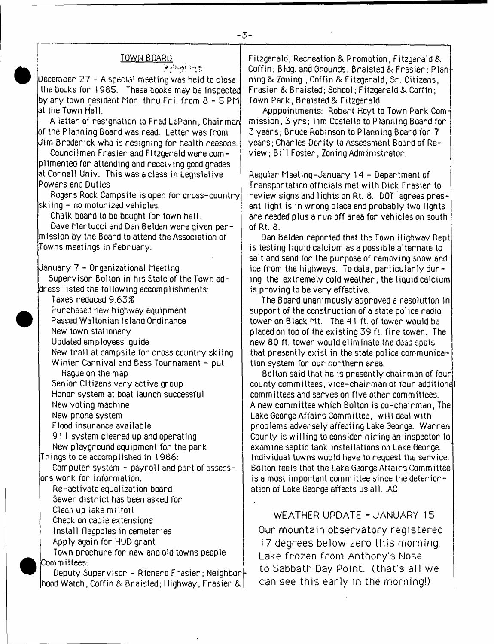#### TOWN BOARD

يتوجه والمواردين

December 27 - A special meeting was held to close the books for 1985. These books may be inspected by any town resident Mon. thru Fri. from 8  $\sim$  5 PM. at the Town Hall.

A letter of resignation to Fred LaPann, Chairman of the P ianning Board was read. Letter was from Jim Broderick who is resigning for health reasons.

Councilmen Frasier and FItzgerald were complimented for attending and receiving good grades at Cornell Univ. This was a class in Legislative Powers and Duties

Rogers Rock Campsite is open for cross-country skiing - no motorized vehicles.

Chalk board to be bought for town hall.

Dave Martucci and Dan Belden were given permission by the Board to attend the Association of Towns meetings in February.

January 7 - Organizational Meeting

Supervisor Bolton in his State of the Town address listed the following accomplishments:

Taxes reduced 9.63& Purchased new highway equipment Passed Waltonian Island Ordinance New town stationery Updated employees' guide New trail at campsite for cross country skiing Winter Carnival and Bass Tournament - put Hague on the map

Senior Citizens very active group Honor system at boat launch successful New voting machine

New phone system

Flood insurance available

91 I system cleared up and operating New playground equipment for the park

Things to be accomplished in 1986:

Computer system - payroll and part of assessors work for information.

Re-activate equalization board Sewer district has been asked for

Clean up lake m ilfoil

Check on cable extensions

Install flagpoles in cemeteries

Apply again for HUD grant

Town brochure for new and old towns people Committees:

Deputy Supervisor - Richard Frasier; Neighbor hood Watch, Coffin & Braisted; Highway, Frasier &

Fitzgerald; Recreation & Promotion, Fitzgerald & Coffin; Bldg: and Grounds, Braisted 8. Frasier; Planning & Zoning , Coffin & Fitzgerald; Sr. Citizens, Frasier & Braisted; School; Fitzgerald*ik* Coffin; Town Park, Braisted & Fitzgerald.

Apppointments: Robert Hoyt to Town Park Com mission, 3 yrs; Tim Costello to Planning Board for 3 years; Bruce Robinson to Planning Board for 7 years; Charles Dority to Assessment Board of Review; Bill Foster, Zoning Administrator.

Regular Meeting-January 14 - Department of Transportation officials met with Dick Frasier to review signs and lights on Rt. 8. DOT agrees present light is in wrong place and probably two lights are needed plus a run off area for vehicles on south of Rt. 8.

Dan Belden reported that the Town Highway Dept is testing liquid calcium as a possible alternate to salt and sand for the purpose of removing snow and ice from the highways. To date, particularly during the extremely cold weather, the liquid calcium is proving to be very effective.

The Board unanimously approved a resolution in support of the construction of a state police radio tower on Black Mt. The 41 ft. of tower would be placed on top of the existing 39 ft. fire tower. The new 80 ft. tower would eliminate the dead spots that presently exist in the state police communication system for our northern area.

Bolton said that he is presently chairman of four county committees, vice-chairman of four additionel committees and serves on five other committees. A new committee which Bolton is co-chairman, The Lake George Affairs Committee, wi 11 deal with problems adversely affecting Lake George. Warren County is willing to consider hiring an inspector to examine septic tank installations on Lake George. Individual towns would have to request the service. Bolton feels that the Lake George Affairs Committee is a most important committee since the deterior  $\sim$ ation of Lake George affects us all...AC

WEATHER UPDATE - JANUARY 15 Our mountain observatory registered 17 degrees below zero this morning. Lake frozen from Anthony's Nose to Sabbath Day Point, (that's all we can see this early in the morning!)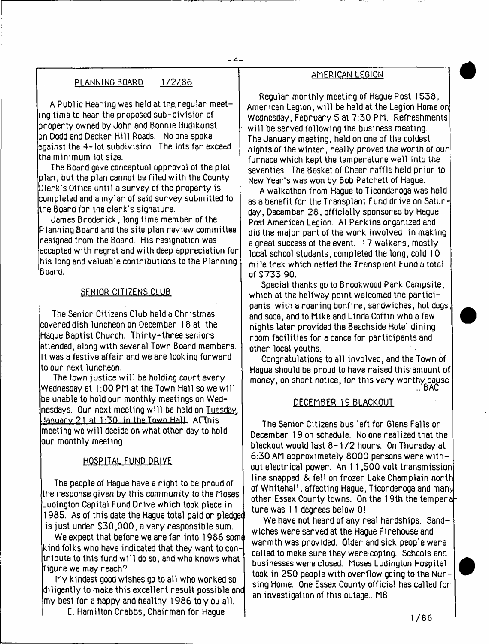# PLANNING BOARD 1/2/86

A Public Hearing was held at the regular meeting time to hear the proposed sub-division of property owned by John and Bonnie Gudikunst on Dodd and Decker Hill Roads. No one spoke  $a$ against the  $4-$  lot subdivision. The lots far exceed the minimum lot size.

The Board gave conceptual approval of the plat plan, but the plan cannot be filed with the County Clerk's Office until a survey of the property is completed and a mylar of said survey submitted to the Board for the clerk's signature.

James Broderick, long time member of the Planning Board and the site plan review committee resigned from the Board. His resignation was accepted with regret and with deep appreciation for his long and valuable contributions to the Planning Board.

# SENIOR CITIZENS CLUB

The Senior Citizens Club held a Christmas covered dish luncheon on December 18 at the Hague Baptist Church. Thirty-three seniors attended, along with several Town Board members. It was a festive affair and we are looking forward to our next luncheon.

The town justice will be holding court every Wednesday at 1:00 PM at the Town Hall so we will be unable to hold our monthly meetings on Wednesdays. Our next meeting w ill be held on Tuesday. .January 21 at 1-50 in the Town Hall Aflhis meeting we w ill decide on what other day to hold lour monthly meeting.

# HOSPITAL FUND DRIVE

The people of Hague have a right to be proud of the response given by this community to the Moses Ludington Capital Fund Drive which took place in 1985. As of this date the Hague total paid or pledgee is just under \$30,000, a very responsible sum.

We expect that before we are far into 1986 some kind folks who have indicated that they want to contribute to this fund w ill do so, and who knows what figure we may reach?

My kindest good wishes go to all who worked so diligently to make this excellent result possible anc my best for a happy and healthy 1986 to y ou all.

E. Hamilton Crabbs, Chairman for Hague

# AMERICAN LEGION

Regular monthly meeting of Hague Post 1536, American Legion, will be held at the Legion Home on Wednesday, February 5 at 7:30 PM. Refreshments will be served following the business meeting. The January meeting, held on one of the coldest nights of the winter, really proved the worth *of our* furnace which kept the temperature well into the seventies. The Basket of Cheer raffle held prior to New Year's was won by Bob Patchett of Hague.

A walkathon from Hague to Ticonderoga was held as a benefit for the Transplant Fund drive on Saturday, December 28, officially sponsored by Hague Post American Legion. A1 Perkins organized and did the major part of the work involved in making a great success of the event. 17 walkers, mostly local school students, completed the long, cold 10 mile trek which netted the Transplant Fund a total of \$733.90.

Special thanks go to Brookwood Park Campsite, which at the halfway point welcomed the participants with a roaring bonfire, sandwiches, hot dogs, and soda, and to Mike and Linda Coffin who a few nights later provided the Beachside Hotel dining room facilities for a dance for participants and other local youths.

Congratulations to all involved, and the Town of Hague should be proud to have raised this-amount of money, on short notice, for this very worthy cause.<br>BAC...

## DECEMBER 19 BLACKOUT

The Senior Citizens bus left for Glens Falls on December 19 on schedule. No one realized that the blackout would last 8-1 /2 hours. On Thursday at 6:30 AM approximately 8000 persons were without electrical power. An 11,500 volt transmission line snapped & fell on frozen Lake Champlain north of Whitehall, affecting Hague, Ticonderoga and many other Essex County towns. On the 19th the tempera ture was 11 degrees below 0!

We have not heard of any real hardships. Sandwiches were served at the Hague Firehouse and warmth was provided. Older and sick people were called to make sure they were coping. Schools and businesses were closed. Moses Ludington Hospital took in 250 people with overflow going to the Nursing Home. One Essex County official has called for an investigation of this outage...MB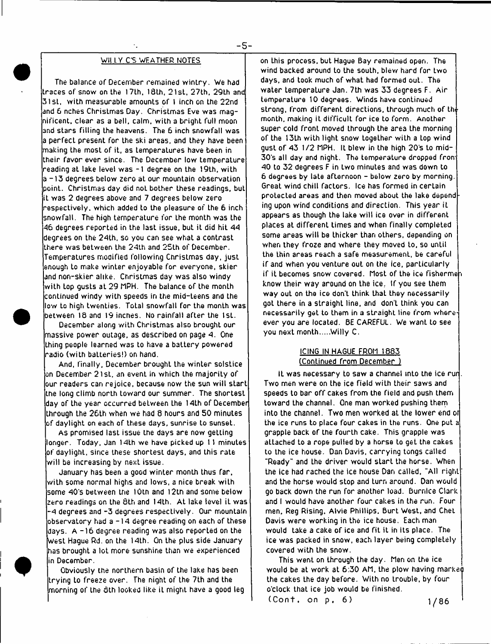#### **Wll L V C'S WEATHER NOTES**

**The balance of December remained w intry. We had traces of snow on the 17th, 18th, 21st, 27th, 29th and 31st, with measurable amounts of 1 inch on the 22nd and 6 nches Christmas Day. Christmas Eve was magnificent, clear as a bell, calm, with a bright full moon and stars filling the heavens. The 6 inch snowfall was a perfect present for the ski areas, and they have been making the most of it, as temperatures have been in their favor ever since. The December low temperature reading at lake level was -1 degree on the 19th, with a -1 3 degrees below zero at our mountain observation point. Christmas day did not bother these readings, but it was 2 degrees above and 7 degrees below zero respectively, which added to the pleasure of Lhe 6 inch snowfall. The high temperature for the month was the -46 degrees reported in the last issue, but it did hit 44 degrees on the 24th, so you can see what a contrast there was between the 24th and 25th of December. Temperatures modified following Christmas day, just enough to make winter enjoyable for everyone, skier and non-skier alike. Christmas day was also windy with Lop gusts at 29 MPH. The balance of the monLh continued windy with speeds in the mid-teens and the low to high twenties. Total snowfall for the month was between 18 and 19 inches. No rainfall after the 1st.**

**December along with Christmas also brought our massive power outage, as described on page 4. One thing people learned was to have a battery powered radio (with batteries!) on hand.**

**And, finally, December brought the winter solstice on December 21st, an event in which the m ajority of our readers can rejoice, because now the sun will start the long climb north toward our summer. The shortest day of the year occurred beLween Lhe 14th of December through the 26th when we had 8 hours and 50 minutes of daylight on each of these days, sunrise to sunset.**

**As promised last issue the days are now getting longer. Today, Jan 14th we have picked up 11 minutes of daylight, since these shortest days, and this rate will be increasing by next issue.**

**January has been a good winter month thus far, with some normal highs and lows, a nice break with some 4 0 's between the I Oth and 12th and some below zero readings on Lhe 8th and 14th. At lake level iL was -4 degrees and -3 degrees respectively. Our mountain observatory had a -1 4 degree reading on each of these days. A -1 6 degree reading was also reported on the West Hague ftd. on the 14th. On the plus side January has brought a lot more sunshine than we experienced in December.**

**Obviously the northern basin of the lake has been trying to freeze over. The night of the 7th and the morning of the 5th looked like iL might have a good leg** **on this process, but Hague Bay remained open. The wind backed around to the souLh, blew hard for two days, and took much of what had formed out. The water temperaLure Jan. 7th was 33 degrees F. Air temperature 10 degrees. Winds have continued strong, from different directions, through much of thi\* month, making it difficult for ice to form. Another super cold front moved through the area the morning of the 13th with light snow together wiLh a Lop wind** qust of 43 1/2 MPH. It blew in the high 20's to mid-**3 0 's all day and night. The temperature dropped from 40 to 32 degrees F in two minutes and was down to 6 degrees by late afternoon - below zero by morning. Great wind chill factors. Ice has formed in certain protected areas and then moved about the lake depending upon wind conditions and direction. This year it appears as though the lake will ice over in different places at different times and when finally completed some areas will be thicker than others, depending on when they froze and where they moved to, so until the thin areas reach a safe measurement, be careful if and when you venture out on the ice, particularly if it becomes snow covered. Most of the ice fishermen know their way around on the ice. If you see them way out on Lhe ice don't think that they necessarily got there in a straight line, and don't think you can necessarily get to them in a straight line from whereever you are located. BE CAREFUL. We want to see you next month Willy C.**

#### **ICING IN HAGUE FROM 1883 (Continued from December )**

**IL was necessary to saw a channel into the ice runt. Two men were on the ice field with their saws and speeds to bar off cakes from the field and push them toward the channel. One man worked pushing them into the channel. Two men worked at the lower end of the ice runs to place four cakes in the runs. One put a grapple back of the fourth cake. This grapple was attached to a rope pulled by a horse to get the cakes to the ice house. Dan Davis, carrying tongs called ''Ready" and Lhe driver would start the horse. When the ice had rached the ice house Dan called, "All right ' and the horse would stop and turn around. Dan would go back down the run for another load. Burnlce Clark and I would have another four cakes in the run. Four men. Reg Rising. Alvie Phillips, Burt West, and Chet Davis were working in the ice house. Each man would take a cake of ice and fit it in its place. The ice was packed in snow, each layer being completely covered with the snow.**

**This went on through the day. Men on the ice would be at work at 6:30 AM, the plow having marked the cakes the day before. With no trouble, by four o'clock that ice job would be finished.** (Cont. on p. 6) 1/86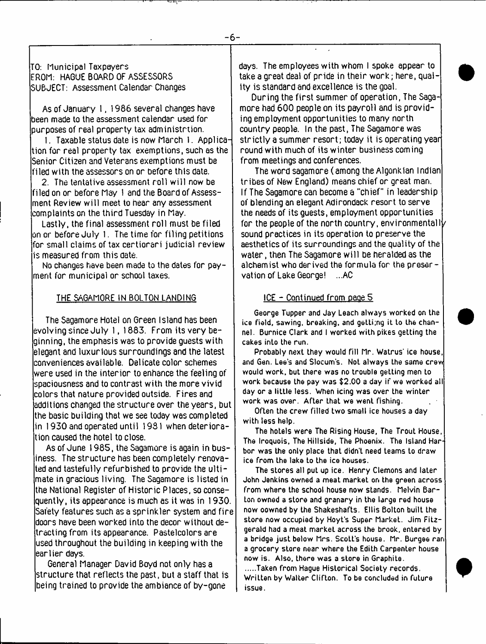TO: Municipal Taxpayers FROM: HAGUE BOARD OF ASSESSORS SUBJECT: Assessment Calendar Changes

As of January 1, 1986 several changes have been made to the assessment calendar used for purposes of real property tax administrtion.

I. Taxable status date is now March 1. Application for real property tax exemptions, such as the Senior Citizen and Veterans exemptions must be filed with the assessors on or before this date.

2. The tentative assessment roll will now be filed on or before May 1 and the Board of Assessment Review w ill meet to hear any assessment complaints on the third Tuesday in May.

Lastly, the final assessment roll must be filed on or before July 1. The time for filing petitions for small claims of tax certiorari judicial review is measured from this date.

No changes have been made to the dates for payment for municipal or school taxes.

#### THE SAGAMORE IN BOLTON LANDING

The Sagamore Hotel on Green Island has been evolving since July 1, 1883. From its very beginning, the emphasis was to provide guests with elegant and luxurious surroundings and the latest conveniences available. Delicate color schemes were used in the interior to enhance the feeling of spaciousness and to contrast with the more vivid colors that nature provided outside. Fires and additions changed the structure over the years, but the basic building that we see today was completed in 1930 and operated until 1931 when deterioration caused the hotel to close.

As of June 1985, the Sagamore is again in business. The structure has been completely renovated and tastefully refurbished to provide the ulti-  $\,$ mate in gracious living. The Sagamore is listed in the National Register of Historic Places, so consequently, its appearance is much as it was in 1930. Safety features such as a sprinkler system and fire doors have been worked into the decor without detracting from its appearance. Pastelcolors are used throughout the building in keeping with the earlier days.

General Manager David Boyd not only has a structure that reflects the past, but a staff that is being trained to provide the ambiance of by-gone

days. The employees with whom I spoke appear to take a great deal of pride in their work; here, quality is standard and excellence is the goal.

During the first summer of operation, The Sagamore had 600 people on its payroll and is providing employment opportunities to many north country people. In the past, The Sagamore was strictly a summer resort; today it is operating year round with much of its winter business coming from meetings and conferences.

The word sagamore ( among the Algonklan Indian tribes of New England) means chief or great man. If The Sagamore can become a "chief" in leadership of blending an elegant Adirondack resort to serve the needs of its guests, employment opportunities for the people of the north country, environmentally sound practices in its operation to preserve the aesthetics of its surroundings and the quality of the water, then The Sagamore w ill be heralded as the alchemist who derived the formula for the preservation of Lake George! ...AC

## ICE - Continued from oaoe 5

**George Tupper and Jay Leach always worked on the ice field, sawing, breaking, and getti;ng it to Lhe channel. Burnice Clark and I worked with pikes getting the cakes into the run.**

**Probably next they would fill Mr. Watrus' ice house, and Gen. Lee's and Slocum's. Not always the same crew would work, but there was no trouble getting men to work because Lhe pay was \$2.00 a day if we worked all day or a little less. When icing was over the winter work was over. After that we went fishing.**

**Often the crew filled two small ice houses a day with less help.**

**The hotels were The Rising House. The Trout House, The Iroquois, The Hillside, The Phoenix. The Island Harbor was the only place that didn't need teams to draw ice from the lake to the ice houses.**

**The stores all put up ice. Henry Clemons and later John Jenkins owned a meat market on the green across from where the school house now stands. Melvin Bar-Lon owned a store and granary in the large red house now oowned by the Shakeshafts. Ellis Bolton built Lhe store now occupied by Hoyt's Super Market. Jim Fitzgerald had a meat markeL across the brook, entered by a bridge just below Mrs. Scott's house. Mr. Burgee ran a grocery store near where the Edith Carpenter house now is. Also, there was a store in Graphite.**

.....Taken from Haque Historical Society records. **Written by Walter Clifton. To be concluded in fuLure issue.**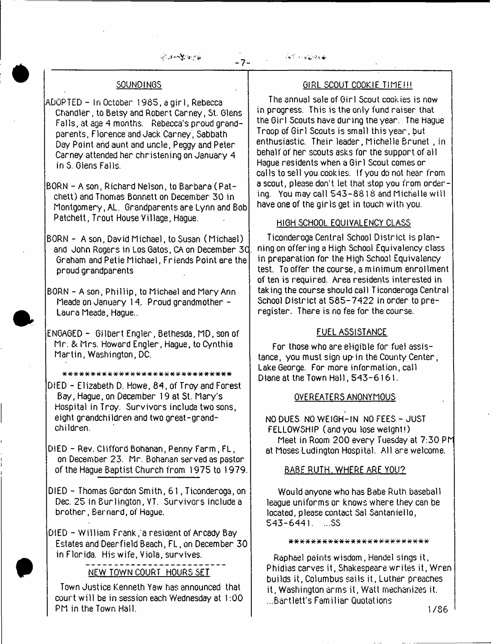感动性紧张性

 $\mathcal{N} \rightarrow \mathcal{N} \rightarrow \mathcal{N}$ 

- 7-

# SOUNDINGS

ADOPTED - In October 1985, a girl, Rebecca Chandler, to Betsy and Robert Carney, St. Glens Falls, at age 4 months. Rebecca's proud grandparents, Florence and Jack Carney, Sabbath Day Point arid aunt and uncle, Peggy and Peter Carney attended her christening on January 4 in S. Glens Falls.

BORN - A son, Richard Nelson, to Barbara ( Patchett) and Thomas Bonnett on December 30 in Montgomery, AL. Grandparents are Lynn and Bob Patchett, Trout House Village, Hague.

BORN - A son, David Michael, to Susan (Michael) and John Rogers in Los Gatos, CA on December 3C. Graham and Petie Michael, Friends Point are the proud grandparents

BORN - A son, Phillip, to Michael and Mary Ann Meade on January 14. Proud grandmother -Laura Meade, Hague..

ENGAGED - Gilbert Engler, Bethesda, MD, son of Mr. & Mrs. Howard Engler, Hague, to Cynthia Martin, Washington, DC.

\* \* \* \* \* \* \* \* \* \* \* \* \* \* \* \* \* \* \* \* \* \* \* \* \* \* \* \* \* \*

DIED - Elizabeth D. Howe, 84, of Troy and Forest Bay, Hague, on December 19 at St. Mary's Hospital in Troy. Survivors include two sons, eight grandchildren and two great-grandchildren.

DIED - Rev. Clifford Bohanan, Penny Farm, FL, on December 23. Mr. Bohanan served as pastor of the Hague Baptist Church from 1975 to 1979.

DIED - Thomas Gordon Smith, 61, Ticonderoga, on Dec. 25 in Burlington, VT. Survivors include a brother, Bernard, of Hague.

DIED - William Frank;a resident of Arcady Bay Estates and Deerfield Beach, FL, on December 30 in Florida. His wife, Viola, survives.

NEW TOWN COURT HOURS SET

Town Justice Kenneth Yaw has announced that court will be in session each Wednesday at 1:00 PM in the Town Hall.

# GIRL SCOUT COOKIE TIME!!!

The annual sale of Girl Scout cookies is now in progress. This is the only fund raiser that the Girl Scouts have during the year. The Hague Troop of Girl Scouts is small this year, but enthusiastic. Their leader, Michelle Brunet , in behalf of her scouts asks for the support of all Hague residents when a Girl Scout comes or calls to sell you cookies. If you do not hear from a scout, please don't let that stop you from ordering. You may call 543-8818 and Michelle will have one of the girls get in touch with you.

# HIGH SCHOOL EQUIVALENCY CLASS

Ticonderoga Central School District is planning on offering a High School Equivalency class in preparation for the High School Equivalency test. To offer the course, a minimum enrollment of ten is required. Area residents interested in taking the course should call Ticonderoga Central School District at 585-7422 in order to preregister. There is no fee for the course.

# FUEL ASSISTANCE

For those who are eligible for fuel assistance, you must sign up-in the County Center, Lake George. For more information, call Diane at the Town Hall, 543-6161.

# QVEREATERS ANONYMOUS

NO DUES NO WEIGH-IN NO FEES - JUST FELLOWSHIP (and you lose weight!) Meet in Room 200 every Tuesday at 7:30 PM at Moses Ludington Hospital. All are welcome.

# BABE RUTH, WHERE ARE YOU?

Would anyone who has Babe Ruth baseball league uniforms or knows where they can be located, please contact Sal Santaniello,  $543 - 6441$ . ...SS

#### \* \* \* \* \* \* \* \* \* \* \* \* \* \* \* \* \* \* \* \* \* \* \* \* \*

Raphael paints wisdom, Handel sings it, Phidias carves it, Shakespeare writes it, Wren builds it, Columbus sails it, Luther preaches it, Washington arms it, Watt mechanizes it. ...Bartlett's Familiar Quotations